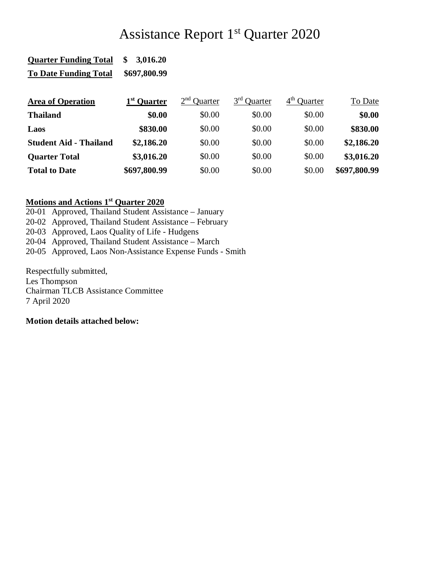## Assistance Report 1<sup>st</sup> Quarter 2020

| <b>Quarter Funding Total</b> | \$3,016.20   |
|------------------------------|--------------|
| <b>To Date Funding Total</b> | \$697,800.99 |

| <b>Area of Operation</b>      | 1 <sup>st</sup> Quarter | $2nd$ Ouarter | 3 <sup>rd</sup> Quarter | 4 <sup>th</sup> Quarter | To Date      |
|-------------------------------|-------------------------|---------------|-------------------------|-------------------------|--------------|
| <b>Thailand</b>               | \$0.00                  | \$0.00        | \$0.00                  | \$0.00                  | \$0.00       |
| Laos                          | \$830.00                | \$0.00        | \$0.00                  | \$0.00                  | \$830.00     |
| <b>Student Aid - Thailand</b> | \$2,186.20              | \$0.00        | \$0.00                  | \$0.00                  | \$2,186.20   |
| <b>Quarter Total</b>          | \$3,016.20              | \$0.00        | \$0.00                  | \$0.00                  | \$3,016.20   |
| <b>Total to Date</b>          | \$697,800.99            | \$0.00        | \$0.00                  | \$0.00                  | \$697,800.99 |

## **Motions and Actions 1st Quarter 2020**

20-01 Approved, Thailand Student Assistance – January

20-02 Approved, Thailand Student Assistance – February

20-03 Approved, Laos Quality of Life - Hudgens

20-04 Approved, Thailand Student Assistance – March

20-05 Approved, Laos Non-Assistance Expense Funds - Smith

Respectfully submitted, Les Thompson Chairman TLCB Assistance Committee 7 April 2020

**Motion details attached below:**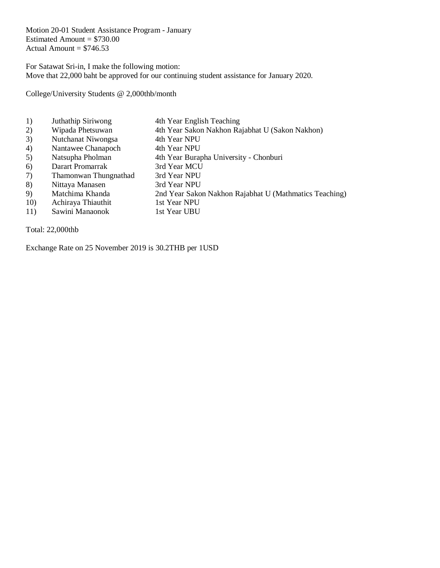Motion 20-01 Student Assistance Program - January Estimated Amount  $= $730.00$ Actual Amount  $= $746.53$ 

For Satawat Sri-in, I make the following motion: Move that 22,000 baht be approved for our continuing student assistance for January 2020.

College/University Students @ 2,000thb/month

- 1) Juthathip Siriwong 4th Year English Teaching
- 2) Wipada Phetsuwan 4th Year Sakon Nakhon Rajabhat U (Sakon Nakhon)
- 3) Nutchanat Niwongsa 4th Year NPU
- 4) Nantawee Chanapoch 4th Year NPU
- 5) Natsupha Pholman 4th Year Burapha University Chonburi<br>
6) Darart Promarrak 3rd Year MCU
- 
- 6) Darart Promarrak 3rd Year MCU<br>7) Thamonwan Thungnathad 3rd Year NPU 7) Thamonwan Thungnathad
- 
- 8) Nittaya Manasen 3rd Year NPU<br>9) Matchima Khanda 2nd Year Sako 9) Matchima Khanda 2nd Year Sakon Nakhon Rajabhat U (Mathmatics Teaching)
- 10) Achiraya Thiauthit 1st Year NPU
- 11) Sawini Manaonok 1st Year UBU

Total: 22,000thb

Exchange Rate on 25 November 2019 is 30.2THB per 1USD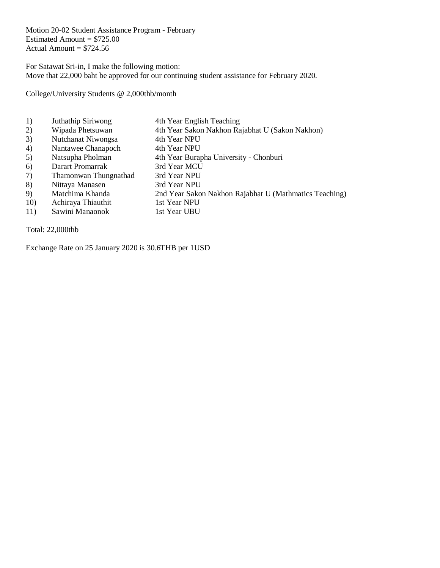Motion 20-02 Student Assistance Program - February Estimated Amount  $= $725.00$ Actual Amount  $= $724.56$ 

For Satawat Sri-in, I make the following motion: Move that 22,000 baht be approved for our continuing student assistance for February 2020.

College/University Students @ 2,000thb/month

- 1) Juthathip Siriwong 4th Year English Teaching
- 2) Wipada Phetsuwan 4th Year Sakon Nakhon Rajabhat U (Sakon Nakhon)
- 3) Nutchanat Niwongsa 4th Year NPU
- 4) Nantawee Chanapoch 4th Year NPU
- 5) Natsupha Pholman 4th Year Burapha University Chonburi<br>
6) Darart Promarrak 3rd Year MCU
- 
- 6) Darart Promarrak 3rd Year MCU<br>7) Thamonwan Thungnathad 3rd Year NPU 7) Thamonwan Thungnathad
- 8) Nittaya Manasen 3rd Year NPU
- 9) Matchima Khanda 2nd Year Sakon Nakhon Rajabhat U (Mathmatics Teaching)
- 10) Achiraya Thiauthit 1st Year NPU
- 11) Sawini Manaonok 1st Year UBU

Total: 22,000thb

Exchange Rate on 25 January 2020 is 30.6THB per 1USD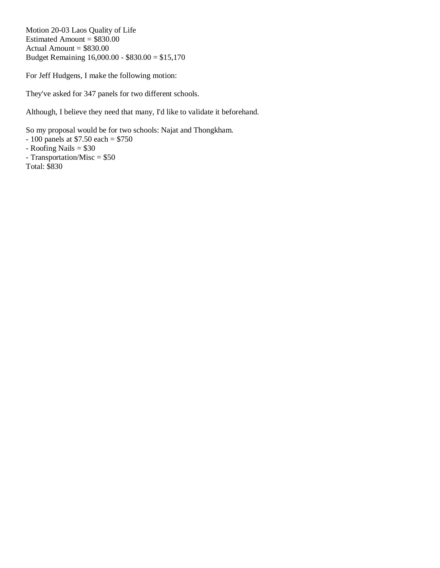Motion 20-03 Laos Quality of Life Estimated Amount =  $$830.00$ Actual Amount  $= $830.00$ Budget Remaining 16,000.00 - \$830.00 = \$15,170

For Jeff Hudgens, I make the following motion:

They've asked for 347 panels for two different schools.

Although, I believe they need that many, I'd like to validate it beforehand.

So my proposal would be for two schools: Najat and Thongkham.  $-100$  panels at \$7.50 each = \$750  $-Roofing Nails = $30$ - Transportation/Misc = \$50 Total: \$830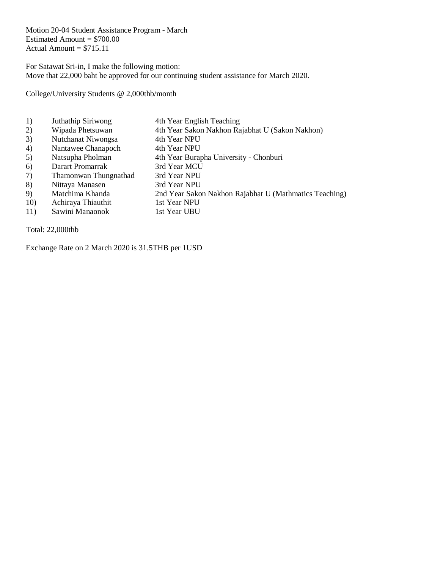Motion 20-04 Student Assistance Program - March Estimated Amount  $= $700.00$ Actual Amount  $= $715.11$ 

For Satawat Sri-in, I make the following motion: Move that 22,000 baht be approved for our continuing student assistance for March 2020.

College/University Students @ 2,000thb/month

- 1) Juthathip Siriwong 4th Year English Teaching
- 2) Wipada Phetsuwan 4th Year Sakon Nakhon Rajabhat U (Sakon Nakhon)
- 3) Nutchanat Niwongsa 4th Year NPU
- 4) Nantawee Chanapoch 4th Year NPU
- 5) Natsupha Pholman 4th Year Burapha University Chonburi<br>6) Darart Promarrak 3rd Year MCU
- 
- 6) Darart Promarrak 3rd Year MCU<br>7) Thamonwan Thungnathad 3rd Year NPU 7) Thamonwan Thungnathad
- 8) Nittaya Manasen 3rd Year NPU
- 9) Matchima Khanda 2nd Year Sakon Nakhon Rajabhat U (Mathmatics Teaching)
- 10) Achiraya Thiauthit 1st Year NPU
- 11) Sawini Manaonok 1st Year UBU

Total: 22,000thb

Exchange Rate on 2 March 2020 is 31.5THB per 1USD